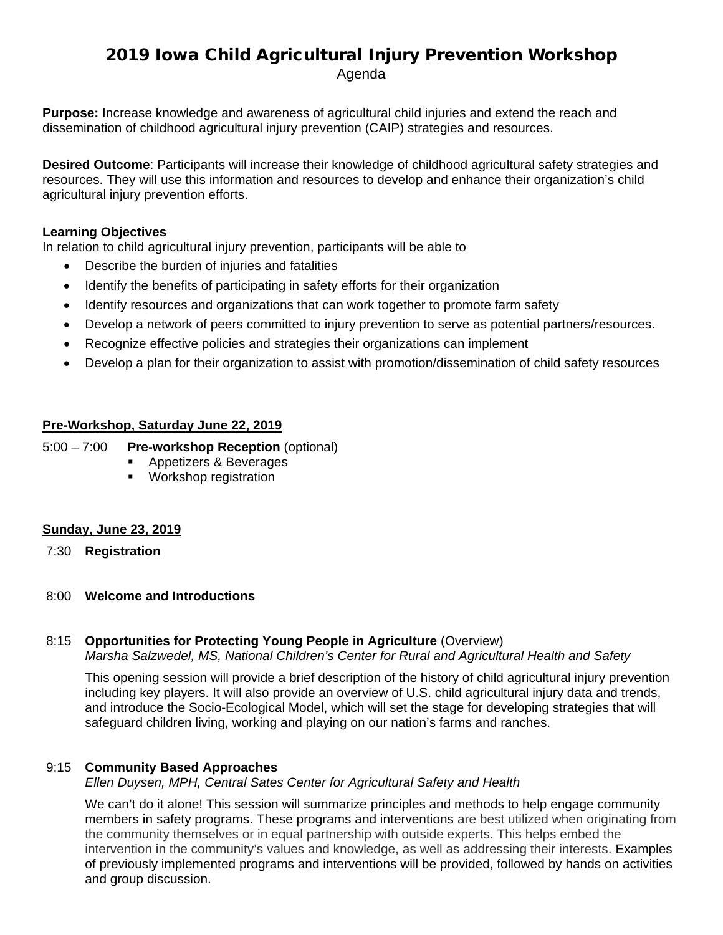# 2019 Iowa Child Agricultural Injury Prevention Workshop

Agenda

**Purpose:** Increase knowledge and awareness of agricultural child injuries and extend the reach and dissemination of childhood agricultural injury prevention (CAIP) strategies and resources.

**Desired Outcome**: Participants will increase their knowledge of childhood agricultural safety strategies and resources. They will use this information and resources to develop and enhance their organization's child agricultural injury prevention efforts.

# **Learning Objectives**

In relation to child agricultural injury prevention, participants will be able to

- Describe the burden of injuries and fatalities
- Identify the benefits of participating in safety efforts for their organization
- Identify resources and organizations that can work together to promote farm safety
- Develop a network of peers committed to injury prevention to serve as potential partners/resources.
- Recognize effective policies and strategies their organizations can implement
- Develop a plan for their organization to assist with promotion/dissemination of child safety resources

# **Pre-Workshop, Saturday June 22, 2019**

5:00 – 7:00 **Pre-workshop Reception** (optional)

- **Appetizers & Beverages** 
	- **Workshop registration**

# **Sunday, June 23, 2019**

- 7:30 **Registration**
- 8:00 **Welcome and Introductions**

# 8:15 **Opportunities for Protecting Young People in Agriculture** (Overview)

*Marsha Salzwedel, MS, National Children's Center for Rural and Agricultural Health and Safety*

This opening session will provide a brief description of the history of child agricultural injury prevention including key players. It will also provide an overview of U.S. child agricultural injury data and trends, and introduce the Socio-Ecological Model, which will set the stage for developing strategies that will safeguard children living, working and playing on our nation's farms and ranches.

# 9:15 **Community Based Approaches**

*Ellen Duysen, MPH, Central Sates Center for Agricultural Safety and Health*

We can't do it alone! This session will summarize principles and methods to help engage community members in safety programs. These programs and interventions are best utilized when originating from the community themselves or in equal partnership with outside experts. This helps embed the intervention in the community's values and knowledge, as well as addressing their interests. Examples of previously implemented programs and interventions will be provided, followed by hands on activities and group discussion.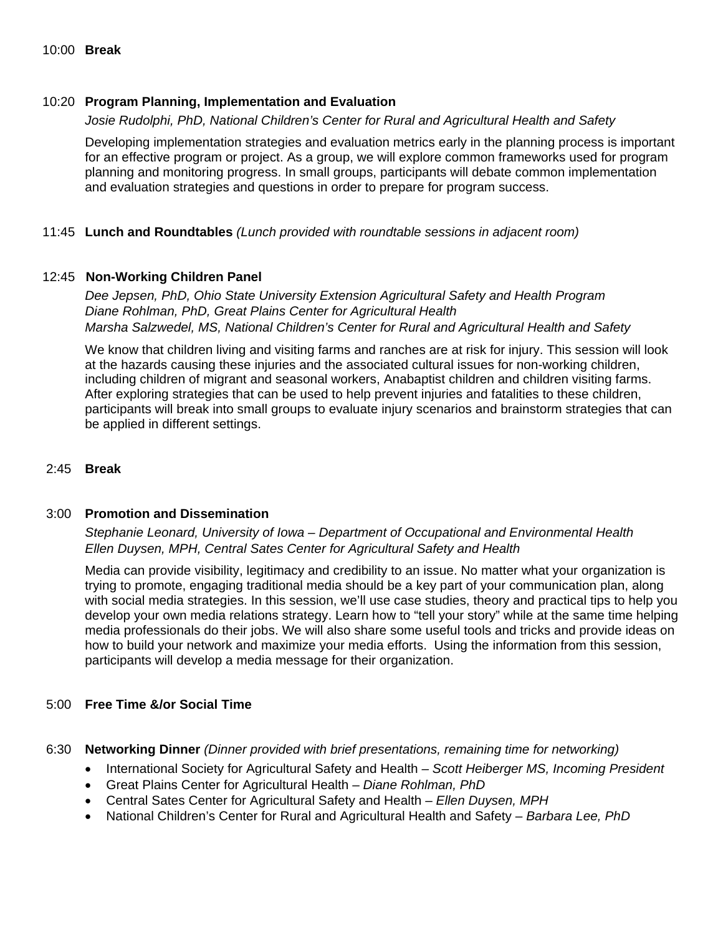## 10:20 **Program Planning, Implementation and Evaluation**

#### *Josie Rudolphi, PhD, National Children's Center for Rural and Agricultural Health and Safety*

Developing implementation strategies and evaluation metrics early in the planning process is important for an effective program or project. As a group, we will explore common frameworks used for program planning and monitoring progress. In small groups, participants will debate common implementation and evaluation strategies and questions in order to prepare for program success.

#### 11:45 **Lunch and Roundtables** *(Lunch provided with roundtable sessions in adjacent room)*

#### 12:45 **Non-Working Children Panel**

*Dee Jepsen, PhD, Ohio State University Extension Agricultural Safety and Health Program Diane Rohlman, PhD, Great Plains Center for Agricultural Health Marsha Salzwedel, MS, National Children's Center for Rural and Agricultural Health and Safety*

We know that children living and visiting farms and ranches are at risk for injury. This session will look at the hazards causing these injuries and the associated cultural issues for non-working children, including children of migrant and seasonal workers, Anabaptist children and children visiting farms. After exploring strategies that can be used to help prevent injuries and fatalities to these children, participants will break into small groups to evaluate injury scenarios and brainstorm strategies that can be applied in different settings.

#### 2:45 **Break**

#### 3:00 **Promotion and Dissemination**

# *Stephanie Leonard, University of Iowa – Department of Occupational and Environmental Health Ellen Duysen, MPH, Central Sates Center for Agricultural Safety and Health*

Media can provide visibility, legitimacy and credibility to an issue. No matter what your organization is trying to promote, engaging traditional media should be a key part of your communication plan, along with social media strategies. In this session, we'll use case studies, theory and practical tips to help you develop your own media relations strategy. Learn how to "tell your story" while at the same time helping media professionals do their jobs. We will also share some useful tools and tricks and provide ideas on how to build your network and maximize your media efforts. Using the information from this session, participants will develop a media message for their organization.

#### 5:00 **Free Time &/or Social Time**

#### 6:30 **Networking Dinner** *(Dinner provided with brief presentations, remaining time for networking)*

- International Society for Agricultural Safety and Health *– Scott Heiberger MS, Incoming President*
- Great Plains Center for Agricultural Health *Diane Rohlman, PhD*
- Central Sates Center for Agricultural Safety and Health *Ellen Duysen, MPH*
- National Children's Center for Rural and Agricultural Health and Safety *Barbara Lee, PhD*